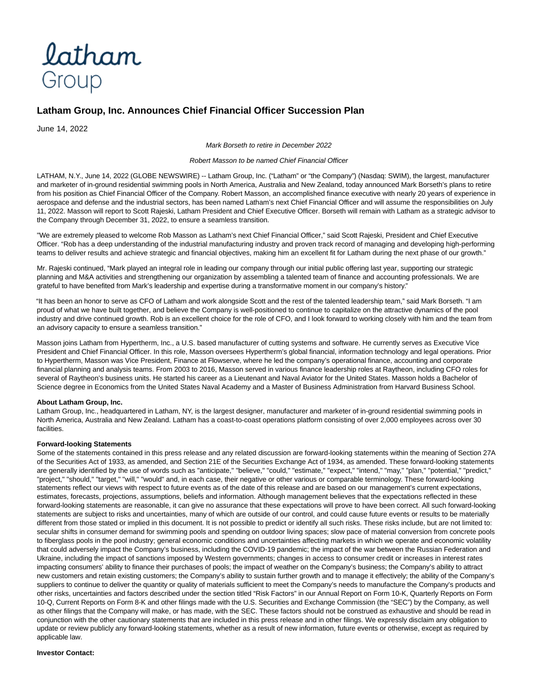

## **Latham Group, Inc. Announces Chief Financial Officer Succession Plan**

June 14, 2022

Mark Borseth to retire in December 2022

Robert Masson to be named Chief Financial Officer

LATHAM, N.Y., June 14, 2022 (GLOBE NEWSWIRE) -- Latham Group, Inc. ("Latham" or "the Company") (Nasdaq: SWIM), the largest, manufacturer and marketer of in-ground residential swimming pools in North America, Australia and New Zealand, today announced Mark Borseth's plans to retire from his position as Chief Financial Officer of the Company. Robert Masson, an accomplished finance executive with nearly 20 years of experience in aerospace and defense and the industrial sectors, has been named Latham's next Chief Financial Officer and will assume the responsibilities on July 11, 2022. Masson will report to Scott Rajeski, Latham President and Chief Executive Officer. Borseth will remain with Latham as a strategic advisor to the Company through December 31, 2022, to ensure a seamless transition.

"We are extremely pleased to welcome Rob Masson as Latham's next Chief Financial Officer," said Scott Rajeski, President and Chief Executive Officer. "Rob has a deep understanding of the industrial manufacturing industry and proven track record of managing and developing high-performing teams to deliver results and achieve strategic and financial objectives, making him an excellent fit for Latham during the next phase of our growth."

Mr. Rajeski continued, "Mark played an integral role in leading our company through our initial public offering last year, supporting our strategic planning and M&A activities and strengthening our organization by assembling a talented team of finance and accounting professionals. We are grateful to have benefited from Mark's leadership and expertise during a transformative moment in our company's history."

"It has been an honor to serve as CFO of Latham and work alongside Scott and the rest of the talented leadership team," said Mark Borseth. "I am proud of what we have built together, and believe the Company is well-positioned to continue to capitalize on the attractive dynamics of the pool industry and drive continued growth. Rob is an excellent choice for the role of CFO, and I look forward to working closely with him and the team from an advisory capacity to ensure a seamless transition."

Masson joins Latham from Hypertherm, Inc., a U.S. based manufacturer of cutting systems and software. He currently serves as Executive Vice President and Chief Financial Officer. In this role, Masson oversees Hypertherm's global financial, information technology and legal operations. Prior to Hypertherm, Masson was Vice President, Finance at Flowserve, where he led the company's operational finance, accounting and corporate financial planning and analysis teams. From 2003 to 2016, Masson served in various finance leadership roles at Raytheon, including CFO roles for several of Raytheon's business units. He started his career as a Lieutenant and Naval Aviator for the United States. Masson holds a Bachelor of Science degree in Economics from the United States Naval Academy and a Master of Business Administration from Harvard Business School.

## **About Latham Group, Inc.**

Latham Group, Inc., headquartered in Latham, NY, is the largest designer, manufacturer and marketer of in-ground residential swimming pools in North America, Australia and New Zealand. Latham has a coast-to-coast operations platform consisting of over 2,000 employees across over 30 facilities.

## **Forward-looking Statements**

Some of the statements contained in this press release and any related discussion are forward-looking statements within the meaning of Section 27A of the Securities Act of 1933, as amended, and Section 21E of the Securities Exchange Act of 1934, as amended. These forward-looking statements are generally identified by the use of words such as "anticipate," "believe," "could," "estimate," "expect," "intend," "may," "plan," "potential," "predict," "project," "should," "target," "will," "would" and, in each case, their negative or other various or comparable terminology. These forward-looking statements reflect our views with respect to future events as of the date of this release and are based on our management's current expectations, estimates, forecasts, projections, assumptions, beliefs and information. Although management believes that the expectations reflected in these forward-looking statements are reasonable, it can give no assurance that these expectations will prove to have been correct. All such forward-looking statements are subject to risks and uncertainties, many of which are outside of our control, and could cause future events or results to be materially different from those stated or implied in this document. It is not possible to predict or identify all such risks. These risks include, but are not limited to: secular shifts in consumer demand for swimming pools and spending on outdoor living spaces; slow pace of material conversion from concrete pools to fiberglass pools in the pool industry; general economic conditions and uncertainties affecting markets in which we operate and economic volatility that could adversely impact the Company's business, including the COVID-19 pandemic; the impact of the war between the Russian Federation and Ukraine, including the impact of sanctions imposed by Western governments; changes in access to consumer credit or increases in interest rates impacting consumers' ability to finance their purchases of pools; the impact of weather on the Company's business; the Company's ability to attract new customers and retain existing customers; the Company's ability to sustain further growth and to manage it effectively; the ability of the Company's suppliers to continue to deliver the quantity or quality of materials sufficient to meet the Company's needs to manufacture the Company's products and other risks, uncertainties and factors described under the section titled "Risk Factors" in our Annual Report on Form 10-K, Quarterly Reports on Form 10-Q, Current Reports on Form 8-K and other filings made with the U.S. Securities and Exchange Commission (the "SEC") by the Company, as well as other filings that the Company will make, or has made, with the SEC. These factors should not be construed as exhaustive and should be read in conjunction with the other cautionary statements that are included in this press release and in other filings. We expressly disclaim any obligation to update or review publicly any forward-looking statements, whether as a result of new information, future events or otherwise, except as required by applicable law.

## **Investor Contact:**